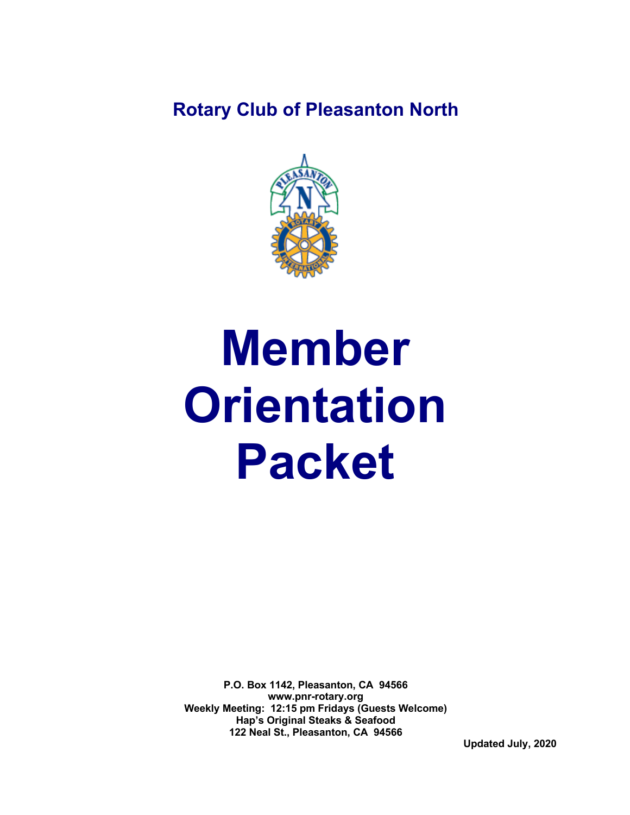## **Rotary Club of Pleasanton North**



# **Member Orientation Packet**

**P.O. Box 1142, Pleasanton, CA 94566 www.pnr-rotary.org Weekly Meeting: 12:15 pm Fridays (Guests Welcome) Hap's Original Steaks & Seafood 122 Neal St., Pleasanton, CA 94566**

 **Updated July, 2020**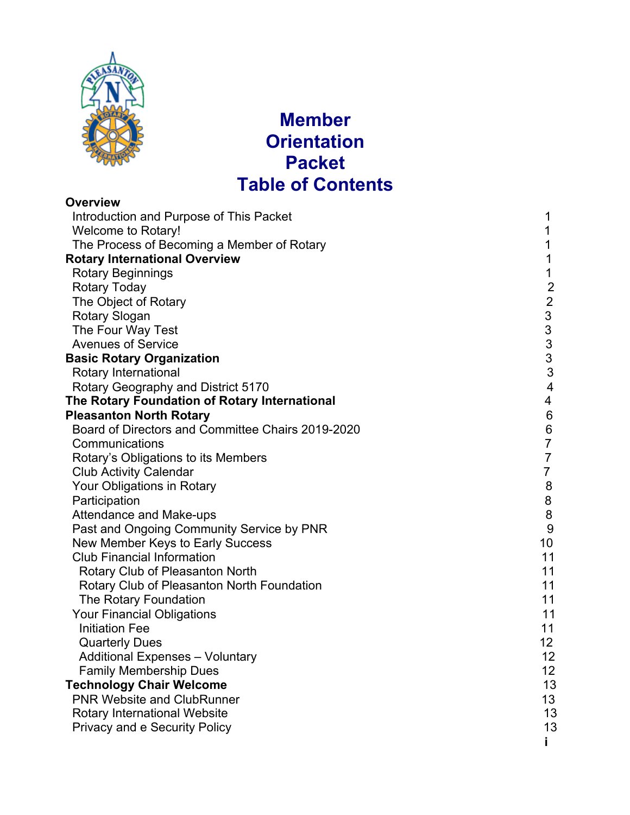

## **Member Orientation Packet Table of Contents**

| <b>Overview</b>                                   |                                                 |
|---------------------------------------------------|-------------------------------------------------|
| Introduction and Purpose of This Packet           | 1                                               |
| <b>Welcome to Rotary!</b>                         | 1                                               |
| The Process of Becoming a Member of Rotary        | 1                                               |
| <b>Rotary International Overview</b>              | 1                                               |
| <b>Rotary Beginnings</b>                          | 1                                               |
| <b>Rotary Today</b>                               | $\overline{2}$                                  |
| The Object of Rotary                              |                                                 |
| Rotary Slogan                                     |                                                 |
| The Four Way Test                                 | $\begin{array}{c} 2 \\ 3 \\ 3 \\ 3 \end{array}$ |
| <b>Avenues of Service</b>                         |                                                 |
| <b>Basic Rotary Organization</b>                  | $\overline{3}$                                  |
| Rotary International                              | 3                                               |
| Rotary Geography and District 5170                | $\overline{4}$                                  |
| The Rotary Foundation of Rotary International     | 4                                               |
| <b>Pleasanton North Rotary</b>                    | $6\phantom{.}6$                                 |
| Board of Directors and Committee Chairs 2019-2020 | $\,6$                                           |
| Communications                                    | $\overline{7}$                                  |
| Rotary's Obligations to its Members               | $\overline{7}$                                  |
| <b>Club Activity Calendar</b>                     | $\overline{7}$                                  |
| Your Obligations in Rotary                        | $\bf 8$                                         |
| Participation                                     | 8                                               |
| Attendance and Make-ups                           | $\,8\,$                                         |
| Past and Ongoing Community Service by PNR         | 9                                               |
| New Member Keys to Early Success                  | 10                                              |
| <b>Club Financial Information</b>                 | 11                                              |
| Rotary Club of Pleasanton North                   | 11                                              |
| Rotary Club of Pleasanton North Foundation        | 11                                              |
| The Rotary Foundation                             | 11                                              |
| <b>Your Financial Obligations</b>                 | 11                                              |
| <b>Initiation Fee</b>                             | 11                                              |
| <b>Quarterly Dues</b>                             | 12                                              |
| <b>Additional Expenses - Voluntary</b>            | 12                                              |
| <b>Family Membership Dues</b>                     | 12                                              |
| <b>Technology Chair Welcome</b>                   | 13                                              |
| <b>PNR Website and ClubRunner</b>                 | 13                                              |
| <b>Rotary International Website</b>               | 13                                              |
| <b>Privacy and e Security Policy</b>              | 13                                              |
|                                                   | i.                                              |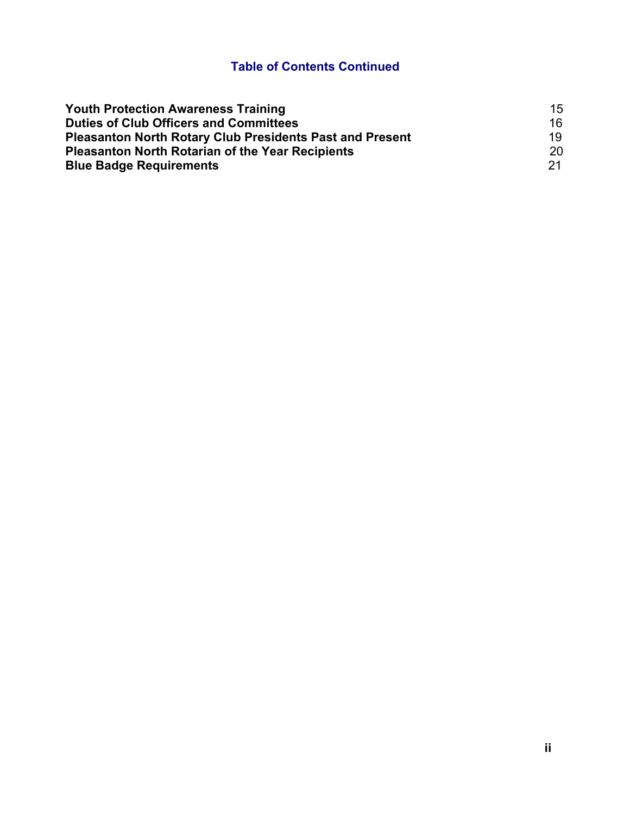#### **Table of Contents Continued**

| <b>Youth Protection Awareness Training</b>                      | 15   |
|-----------------------------------------------------------------|------|
| <b>Duties of Club Officers and Committees</b>                   | 16   |
| <b>Pleasanton North Rotary Club Presidents Past and Present</b> | 19   |
| <b>Pleasanton North Rotarian of the Year Recipients</b>         | 20   |
| <b>Blue Badge Requirements</b>                                  | -21. |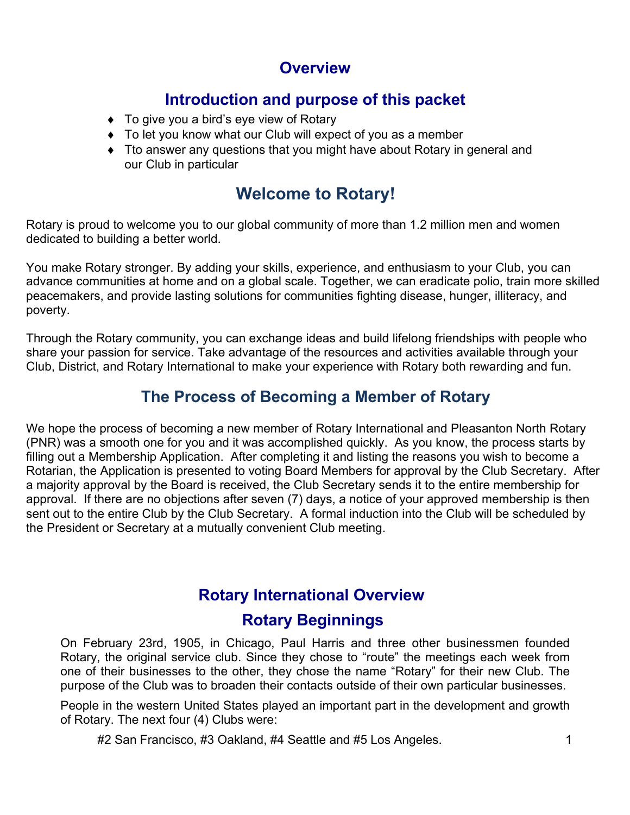## **Overview**

## **Introduction and purpose of this packet**

- $\bullet$  To give you a bird's eye view of Rotary
- $\bullet$  To let you know what our Club will expect of you as a member
- Tto answer any questions that you might have about Rotary in general and our Club in particular

## **Welcome to Rotary!**

Rotary is proud to welcome you to our global community of more than 1.2 million men and women dedicated to building a better world.

You make Rotary stronger. By adding your skills, experience, and enthusiasm to your Club, you can advance communities at home and on a global scale. Together, we can eradicate polio, train more skilled peacemakers, and provide lasting solutions for communities fighting disease, hunger, illiteracy, and poverty.

Through the Rotary community, you can exchange ideas and build lifelong friendships with people who share your passion for service. Take advantage of the resources and activities available through your Club, District, and Rotary International to make your experience with Rotary both rewarding and fun.

## **The Process of Becoming a Member of Rotary**

We hope the process of becoming a new member of Rotary International and Pleasanton North Rotary (PNR) was a smooth one for you and it was accomplished quickly. As you know, the process starts by filling out a Membership Application. After completing it and listing the reasons you wish to become a Rotarian, the Application is presented to voting Board Members for approval by the Club Secretary. After a majority approval by the Board is received, the Club Secretary sends it to the entire membership for approval. If there are no objections after seven (7) days, a notice of your approved membership is then sent out to the entire Club by the Club Secretary. A formal induction into the Club will be scheduled by the President or Secretary at a mutually convenient Club meeting.

# **Rotary International Overview**

## **Rotary Beginnings**

On February 23rd, 1905, in Chicago, Paul Harris and three other businessmen founded Rotary, the original service club. Since they chose to "route" the meetings each week from one of their businesses to the other, they chose the name "Rotary" for their new Club. The purpose of the Club was to broaden their contacts outside of their own particular businesses.

People in the western United States played an important part in the development and growth of Rotary. The next four (4) Clubs were:

#2 San Francisco, #3 Oakland, #4 Seattle and #5 Los Angeles. 1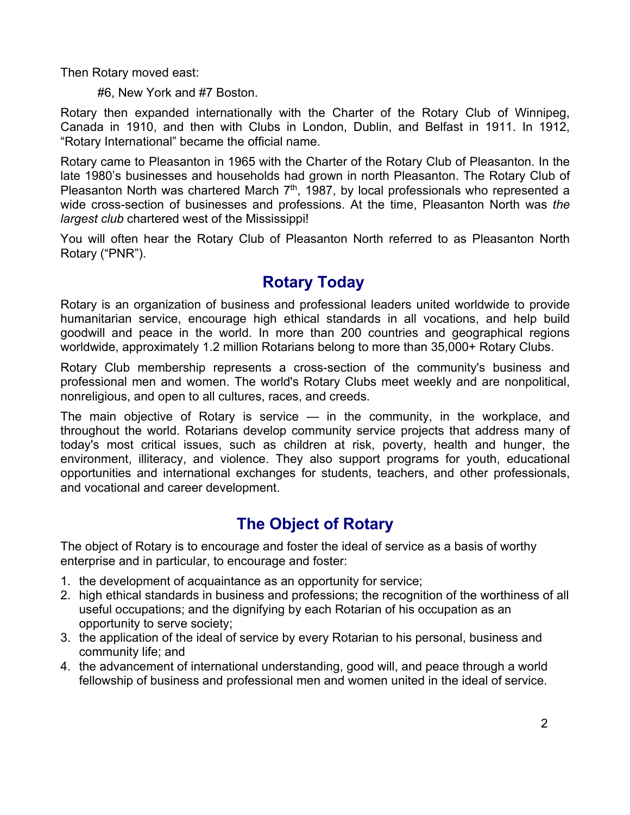Then Rotary moved east:

#6, New York and #7 Boston.

Rotary then expanded internationally with the Charter of the Rotary Club of Winnipeg, Canada in 1910, and then with Clubs in London, Dublin, and Belfast in 1911. In 1912, "Rotary International" became the official name.

Rotary came to Pleasanton in 1965 with the Charter of the Rotary Club of Pleasanton. In the late 1980's businesses and households had grown in north Pleasanton. The Rotary Club of Pleasanton North was chartered March  $7<sup>th</sup>$ , 1987, by local professionals who represented a wide cross-section of businesses and professions. At the time, Pleasanton North was *the largest club* chartered west of the Mississippi!

You will often hear the Rotary Club of Pleasanton North referred to as Pleasanton North Rotary ("PNR").

## **Rotary Today**

Rotary is an organization of business and professional leaders united worldwide to provide humanitarian service, encourage high ethical standards in all vocations, and help build goodwill and peace in the world. In more than 200 countries and geographical regions worldwide, approximately 1.2 million Rotarians belong to more than 35,000+ Rotary Clubs.

Rotary Club membership represents a cross-section of the community's business and professional men and women. The world's Rotary Clubs meet weekly and are nonpolitical, nonreligious, and open to all cultures, races, and creeds.

The main objective of Rotary is service — in the community, in the workplace, and throughout the world. Rotarians develop community service projects that address many of today's most critical issues, such as children at risk, poverty, health and hunger, the environment, illiteracy, and violence. They also support programs for youth, educational opportunities and international exchanges for students, teachers, and other professionals, and vocational and career development.

## **The Object of Rotary**

The object of Rotary is to encourage and foster the ideal of service as a basis of worthy enterprise and in particular, to encourage and foster:

- 1. the development of acquaintance as an opportunity for service;
- 2. high ethical standards in business and professions; the recognition of the worthiness of all useful occupations; and the dignifying by each Rotarian of his occupation as an opportunity to serve society;
- 3. the application of the ideal of service by every Rotarian to his personal, business and community life; and
- 4. the advancement of international understanding, good will, and peace through a world fellowship of business and professional men and women united in the ideal of service.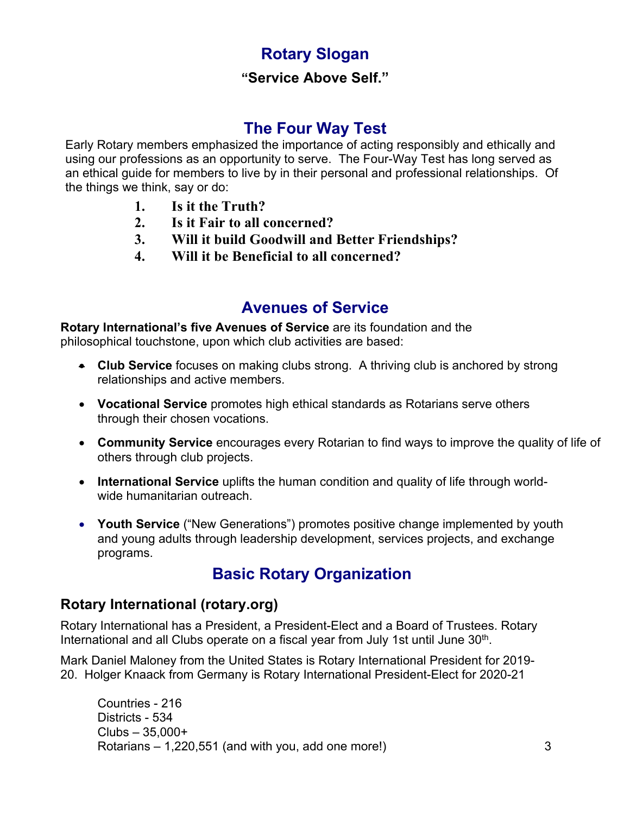## **Rotary Slogan**

#### **"Service Above Self."**

## **The Four Way Test**

Early Rotary members emphasized the importance of acting responsibly and ethically and using our professions as an opportunity to serve. The Four-Way Test has long served as an ethical guide for members to live by in their personal and professional relationships. Of the things we think, say or do:

- **1. Is it the Truth?**
- **2. Is it Fair to all concerned?**
- **3. Will it build Goodwill and Better Friendships?**
- **4. Will it be Beneficial to all concerned?**

#### **Avenues of Service**

**Rotary International's five Avenues of Service** are its foundation and the philosophical touchstone, upon which club activities are based:

- **Club Service** focuses on making clubs strong. A thriving club is anchored by strong relationships and active members.
- **Vocational Service** promotes high ethical standards as Rotarians serve others through their chosen vocations.
- **Community Service** encourages every Rotarian to find ways to improve the quality of life of others through club projects.
- **International Service** uplifts the human condition and quality of life through worldwide humanitarian outreach.
- **Youth Service** ("New Generations") promotes positive change implemented by youth and young adults through leadership development, services projects, and exchange programs.

## **Basic Rotary Organization**

#### **Rotary International (rotary.org)**

Rotary International has a President, a President-Elect and a Board of Trustees. Rotary International and all Clubs operate on a fiscal year from July 1st until June 30<sup>th</sup>.

Mark Daniel Maloney from the United States is Rotary International President for 2019- 20. Holger Knaack from Germany is Rotary International President-Elect for 2020-21

Countries - 216 Districts - 534 Clubs – 35,000+ Rotarians  $-1,220,551$  (and with you, add one more!)  $\hspace{1.5cm}3$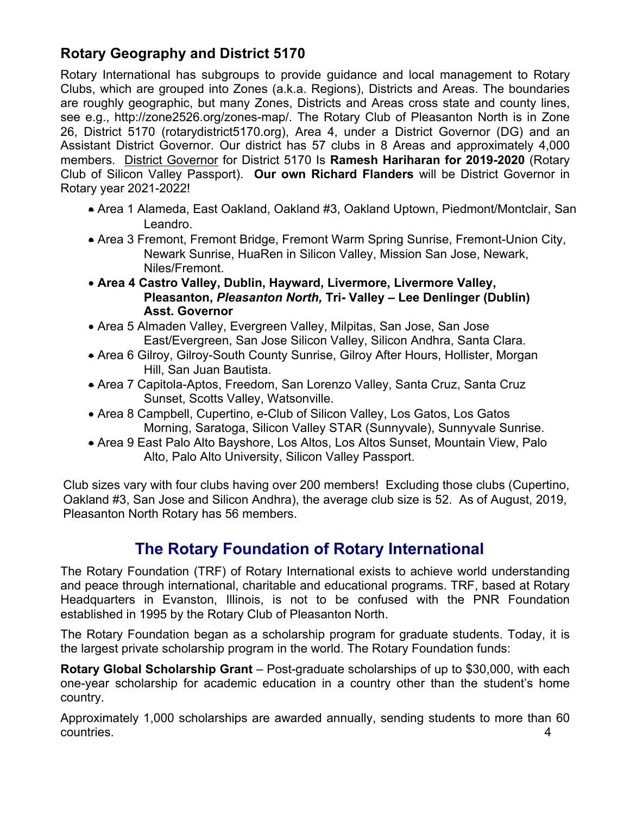#### **Rotary Geography and District 5170**

Rotary International has subgroups to provide guidance and local management to Rotary Clubs, which are grouped into Zones (a.k.a. Regions), Districts and Areas. The boundaries are roughly geographic, but many Zones, Districts and Areas cross state and county lines, see e.g., http://zone2526.org/zones-map/. The Rotary Club of Pleasanton North is in Zone 26, District 5170 (rotarydistrict5170.org), Area 4, under a District Governor (DG) and an Assistant District Governor. Our district has 57 clubs in 8 Areas and approximately 4,000 members. District Governor for District 5170 Is **Ramesh Hariharan for 2019-2020** (Rotary Club of Silicon Valley Passport). **Our own Richard Flanders** will be District Governor in Rotary year 2021-2022!

- Area 1 Alameda, East Oakland, Oakland #3, Oakland Uptown, Piedmont/Montclair, San Leandro.
- Area 3 Fremont, Fremont Bridge, Fremont Warm Spring Sunrise, Fremont-Union City, Newark Sunrise, HuaRen in Silicon Valley, Mission San Jose, Newark, Niles/Fremont.
- **Area 4 Castro Valley, Dublin, Hayward, Livermore, Livermore Valley, Pleasanton,** *Pleasanton North,* **Tri- Valley – Lee Denlinger (Dublin) Asst. Governor**
- Area 5 Almaden Valley, Evergreen Valley, Milpitas, San Jose, San Jose East/Evergreen, San Jose Silicon Valley, Silicon Andhra, Santa Clara.
- Area 6 Gilroy, Gilroy-South County Sunrise, Gilroy After Hours, Hollister, Morgan Hill, San Juan Bautista.
- Area 7 Capitola-Aptos, Freedom, San Lorenzo Valley, Santa Cruz, Santa Cruz Sunset, Scotts Valley, Watsonville.
- Area 8 Campbell, Cupertino, e-Club of Silicon Valley, Los Gatos, Los Gatos Morning, Saratoga, Silicon Valley STAR (Sunnyvale), Sunnyvale Sunrise.
- Area 9 East Palo Alto Bayshore, Los Altos, Los Altos Sunset, Mountain View, Palo Alto, Palo Alto University, Silicon Valley Passport.

Club sizes vary with four clubs having over 200 members! Excluding those clubs (Cupertino, Oakland #3, San Jose and Silicon Andhra), the average club size is 52. As of August, 2019, Pleasanton North Rotary has 56 members.

## **The Rotary Foundation of Rotary International**

The Rotary Foundation (TRF) of Rotary International exists to achieve world understanding and peace through international, charitable and educational programs. TRF, based at Rotary Headquarters in Evanston, Illinois, is not to be confused with the PNR Foundation established in 1995 by the Rotary Club of Pleasanton North.

The Rotary Foundation began as a scholarship program for graduate students. Today, it is the largest private scholarship program in the world. The Rotary Foundation funds:

**Rotary Global Scholarship Grant** – Post-graduate scholarships of up to \$30,000, with each one-year scholarship for academic education in a country other than the student's home country.

Approximately 1,000 scholarships are awarded annually, sending students to more than 60 countries. 4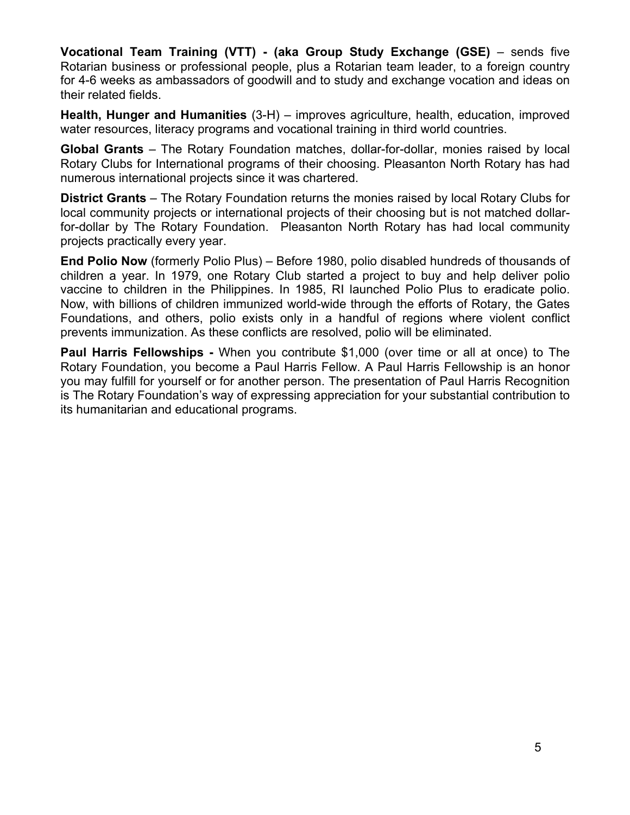**Vocational Team Training (VTT) - (aka Group Study Exchange (GSE)** – sends five Rotarian business or professional people, plus a Rotarian team leader, to a foreign country for 4-6 weeks as ambassadors of goodwill and to study and exchange vocation and ideas on their related fields.

**Health, Hunger and Humanities** (3-H) – improves agriculture, health, education, improved water resources, literacy programs and vocational training in third world countries.

**Global Grants** – The Rotary Foundation matches, dollar-for-dollar, monies raised by local Rotary Clubs for International programs of their choosing. Pleasanton North Rotary has had numerous international projects since it was chartered.

**District Grants** – The Rotary Foundation returns the monies raised by local Rotary Clubs for local community projects or international projects of their choosing but is not matched dollarfor-dollar by The Rotary Foundation. Pleasanton North Rotary has had local community projects practically every year.

**End Polio Now** (formerly Polio Plus) – Before 1980, polio disabled hundreds of thousands of children a year. In 1979, one Rotary Club started a project to buy and help deliver polio vaccine to children in the Philippines. In 1985, RI launched Polio Plus to eradicate polio. Now, with billions of children immunized world-wide through the efforts of Rotary, the Gates Foundations, and others, polio exists only in a handful of regions where violent conflict prevents immunization. As these conflicts are resolved, polio will be eliminated.

**Paul Harris Fellowships -** When you contribute \$1,000 (over time or all at once) to The Rotary Foundation, you become a Paul Harris Fellow. A Paul Harris Fellowship is an honor you may fulfill for yourself or for another person. The presentation of Paul Harris Recognition is The Rotary Foundation's way of expressing appreciation for your substantial contribution to its humanitarian and educational programs.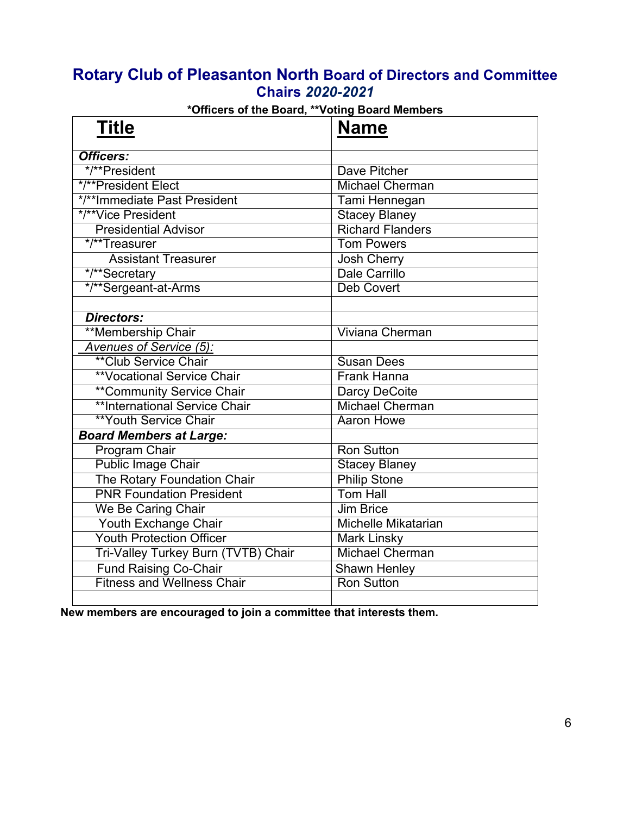#### **Rotary Club of Pleasanton North Board of Directors and Committee Chairs** *2020-2021*

| <b>Title</b>                        | <b>Name</b>                |
|-------------------------------------|----------------------------|
| Officers:                           |                            |
| */**President                       | Dave Pitcher               |
| */**President Elect                 | <b>Michael Cherman</b>     |
| */**Immediate Past President        | Tami Hennegan              |
| */**Vice President                  | <b>Stacey Blaney</b>       |
| <b>Presidential Advisor</b>         | <b>Richard Flanders</b>    |
| */**Treasurer                       | <b>Tom Powers</b>          |
| <b>Assistant Treasurer</b>          | Josh Cherry                |
| */**Secretary                       | Dale Carrillo              |
| */**Sergeant-at-Arms                | <b>Deb Covert</b>          |
|                                     |                            |
| <b>Directors:</b>                   |                            |
| **Membership Chair                  | <b>Viviana Cherman</b>     |
| Avenues of Service (5):             |                            |
| <b>**Club Service Chair</b>         | <b>Susan Dees</b>          |
| <b>**Vocational Service Chair</b>   | <b>Frank Hanna</b>         |
| <b>**Community Service Chair</b>    | Darcy DeCoite              |
| **International Service Chair       | <b>Michael Cherman</b>     |
| <b>**Youth Service Chair</b>        | Aaron Howe                 |
| <b>Board Members at Large:</b>      |                            |
| Program Chair                       | <b>Ron Sutton</b>          |
| Public Image Chair                  | <b>Stacey Blaney</b>       |
| The Rotary Foundation Chair         | <b>Philip Stone</b>        |
| <b>PNR Foundation President</b>     | <b>Tom Hall</b>            |
| We Be Caring Chair                  | <b>Jim Brice</b>           |
| Youth Exchange Chair                | <b>Michelle Mikatarian</b> |
| <b>Youth Protection Officer</b>     | <b>Mark Linsky</b>         |
| Tri-Valley Turkey Burn (TVTB) Chair | <b>Michael Cherman</b>     |
| <b>Fund Raising Co-Chair</b>        | <b>Shawn Henley</b>        |
| <b>Fitness and Wellness Chair</b>   | <b>Ron Sutton</b>          |
|                                     |                            |

#### **\*Officers of the Board, \*\*Voting Board Members**

**New members are encouraged to join a committee that interests them.**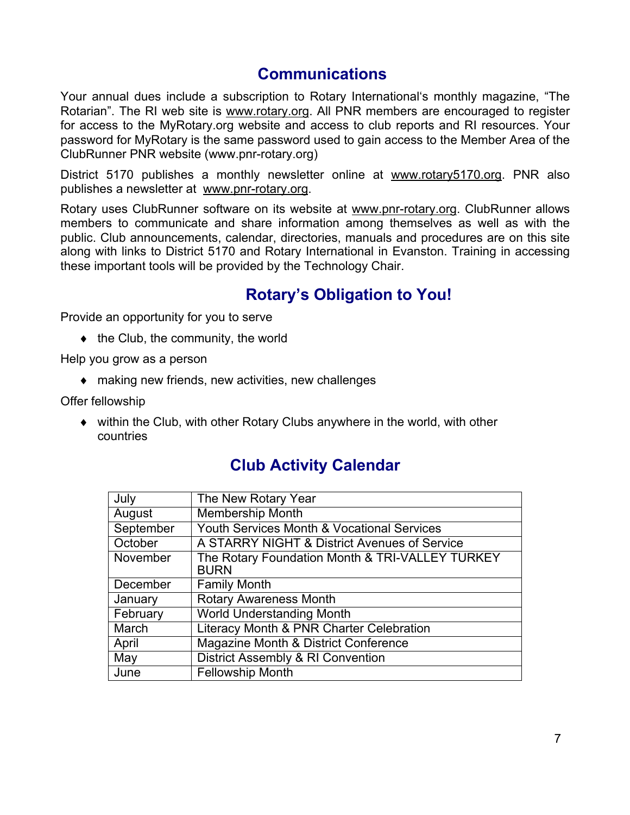#### **Communications**

Your annual dues include a subscription to Rotary International's monthly magazine, "The Rotarian". The RI web site is www.rotary.org. All PNR members are encouraged to register for access to the MyRotary.org website and access to club reports and RI resources. Your password for MyRotary is the same password used to gain access to the Member Area of the ClubRunner PNR website (www.pnr-rotary.org)

District 5170 publishes a monthly newsletter online at www.rotary5170.org. PNR also publishes a newsletter at www.pnr-rotary.org.

Rotary uses ClubRunner software on its website at www.pnr-rotary.org. ClubRunner allows members to communicate and share information among themselves as well as with the public. Club announcements, calendar, directories, manuals and procedures are on this site along with links to District 5170 and Rotary International in Evanston. Training in accessing these important tools will be provided by the Technology Chair.

## **Rotary's Obligation to You!**

Provide an opportunity for you to serve

 $\bullet$  the Club, the community, the world

Help you grow as a person

 $\bullet$  making new friends, new activities, new challenges

Offer fellowship

 $\bullet$  within the Club, with other Rotary Clubs anywhere in the world, with other countries

| July      | The New Rotary Year                                            |
|-----------|----------------------------------------------------------------|
| August    | <b>Membership Month</b>                                        |
| September | Youth Services Month & Vocational Services                     |
| October   | A STARRY NIGHT & District Avenues of Service                   |
| November  | The Rotary Foundation Month & TRI-VALLEY TURKEY<br><b>BURN</b> |
| December  | <b>Family Month</b>                                            |
| January   | <b>Rotary Awareness Month</b>                                  |
| February  | <b>World Understanding Month</b>                               |
| March     | Literacy Month & PNR Charter Celebration                       |
| April     | Magazine Month & District Conference                           |
| May       | District Assembly & RI Convention                              |
| June      | <b>Fellowship Month</b>                                        |

## **Club Activity Calendar**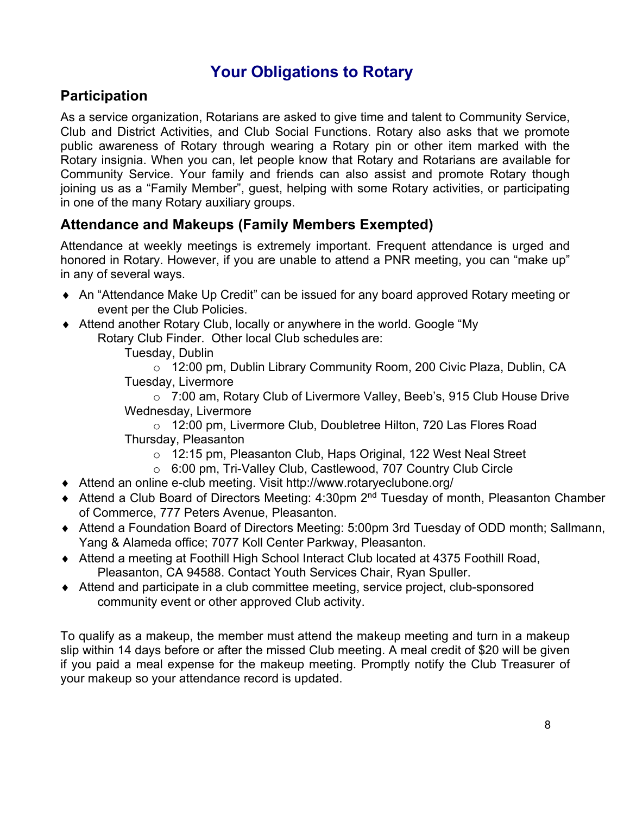## **Your Obligations to Rotary**

#### **Participation**

As a service organization, Rotarians are asked to give time and talent to Community Service, Club and District Activities, and Club Social Functions. Rotary also asks that we promote public awareness of Rotary through wearing a Rotary pin or other item marked with the Rotary insignia. When you can, let people know that Rotary and Rotarians are available for Community Service. Your family and friends can also assist and promote Rotary though joining us as a "Family Member", guest, helping with some Rotary activities, or participating in one of the many Rotary auxiliary groups.

#### **Attendance and Makeups (Family Members Exempted)**

Attendance at weekly meetings is extremely important. Frequent attendance is urged and honored in Rotary. However, if you are unable to attend a PNR meeting, you can "make up" in any of several ways.

- An "Attendance Make Up Credit" can be issued for any board approved Rotary meeting or event per the Club Policies.
- Attend another Rotary Club, locally or anywhere in the world. Google "My Rotary Club Finder. Other local Club schedules are:

Tuesday, Dublin

o 12:00 pm, Dublin Library Community Room, 200 Civic Plaza, Dublin, CA Tuesday, Livermore

o 7:00 am, Rotary Club of Livermore Valley, Beeb's, 915 Club House Drive Wednesday, Livermore

o 12:00 pm, Livermore Club, Doubletree Hilton, 720 Las Flores Road Thursday, Pleasanton

- o 12:15 pm, Pleasanton Club, Haps Original, 122 West Neal Street
- o 6:00 pm, Tri-Valley Club, Castlewood, 707 Country Club Circle
- ◆ Attend an online e-club meeting. Visit http://www.rotaryeclubone.org/
- ◆ Attend a Club Board of Directors Meeting: 4:30pm 2<sup>nd</sup> Tuesday of month, Pleasanton Chamber of Commerce, 777 Peters Avenue, Pleasanton.
- ◆ Attend a Foundation Board of Directors Meeting: 5:00pm 3rd Tuesday of ODD month; Sallmann, Yang & Alameda office; 7077 Koll Center Parkway, Pleasanton.
- ◆ Attend a meeting at Foothill High School Interact Club located at 4375 Foothill Road, Pleasanton, CA 94588. Contact Youth Services Chair, Ryan Spuller.
- ◆ Attend and participate in a club committee meeting, service project, club-sponsored community event or other approved Club activity.

To qualify as a makeup, the member must attend the makeup meeting and turn in a makeup slip within 14 days before or after the missed Club meeting. A meal credit of \$20 will be given if you paid a meal expense for the makeup meeting. Promptly notify the Club Treasurer of your makeup so your attendance record is updated.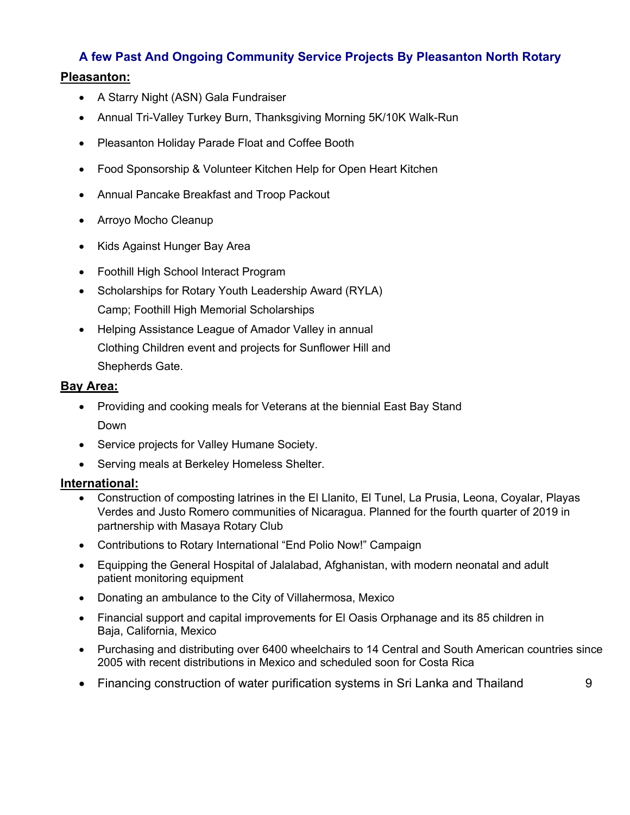#### **A few Past And Ongoing Community Service Projects By Pleasanton North Rotary Pleasanton:**

- A Starry Night (ASN) Gala Fundraiser
- Annual Tri-Valley Turkey Burn, Thanksgiving Morning 5K/10K Walk-Run
- Pleasanton Holiday Parade Float and Coffee Booth
- Food Sponsorship & Volunteer Kitchen Help for Open Heart Kitchen
- Annual Pancake Breakfast and Troop Packout
- Arroyo Mocho Cleanup
- Kids Against Hunger Bay Area
- Foothill High School Interact Program
- Scholarships for Rotary Youth Leadership Award (RYLA) Camp; Foothill High Memorial Scholarships
- Helping Assistance League of Amador Valley in annual Clothing Children event and projects for Sunflower Hill and Shepherds Gate.

#### **Bay Area:**

- Providing and cooking meals for Veterans at the biennial East Bay Stand Down
- Service projects for Valley Humane Society.
- Serving meals at Berkeley Homeless Shelter.

#### **International:**

- Construction of composting latrines in the El Llanito, El Tunel, La Prusia, Leona, Coyalar, Playas Verdes and Justo Romero communities of Nicaragua. Planned for the fourth quarter of 2019 in partnership with Masaya Rotary Club
- Contributions to Rotary International "End Polio Now!" Campaign
- Equipping the General Hospital of Jalalabad, Afghanistan, with modern neonatal and adult patient monitoring equipment
- Donating an ambulance to the City of Villahermosa, Mexico
- Financial support and capital improvements for El Oasis Orphanage and its 85 children in Baja, California, Mexico
- Purchasing and distributing over 6400 wheelchairs to 14 Central and South American countries since 2005 with recent distributions in Mexico and scheduled soon for Costa Rica
- Financing construction of water purification systems in Sri Lanka and Thailand 9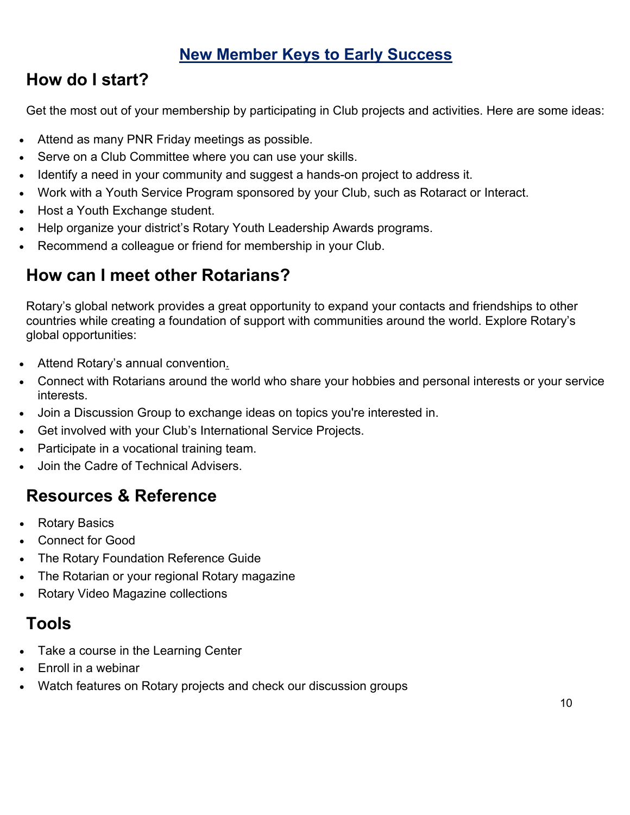## **New Member Keys to Early Success**

## **How do I start?**

Get the most out of your membership by participating in Club projects and activities. Here are some ideas:

- Attend as many PNR Friday meetings as possible.
- Serve on a Club Committee where you can use your skills.
- Identify a need in your community and suggest a hands-on project to address it.
- Work with a Youth Service Program sponsored by your Club, such as Rotaract or Interact.
- Host a Youth Exchange student.
- Help organize your district's Rotary Youth Leadership Awards programs.
- Recommend a colleague or friend for membership in your Club.

## **How can I meet other Rotarians?**

Rotary's global network provides a great opportunity to expand your contacts and friendships to other countries while creating a foundation of support with communities around the world. Explore Rotary's global opportunities:

- Attend Rotary's annual convention.
- Connect with Rotarians around the world who share your hobbies and personal interests or your service interests.
- Join a Discussion Group to exchange ideas on topics you're interested in.
- Get involved with your Club's International Service Projects.
- Participate in a vocational training team.
- Join the Cadre of Technical Advisers.

## **Resources & Reference**

- Rotary Basics
- Connect for Good
- The Rotary Foundation Reference Guide
- The Rotarian or your regional Rotary magazine
- Rotary Video Magazine collections

## **Tools**

- Take a course in the Learning Center
- Enroll in a webinar
- Watch features on Rotary projects and check our discussion groups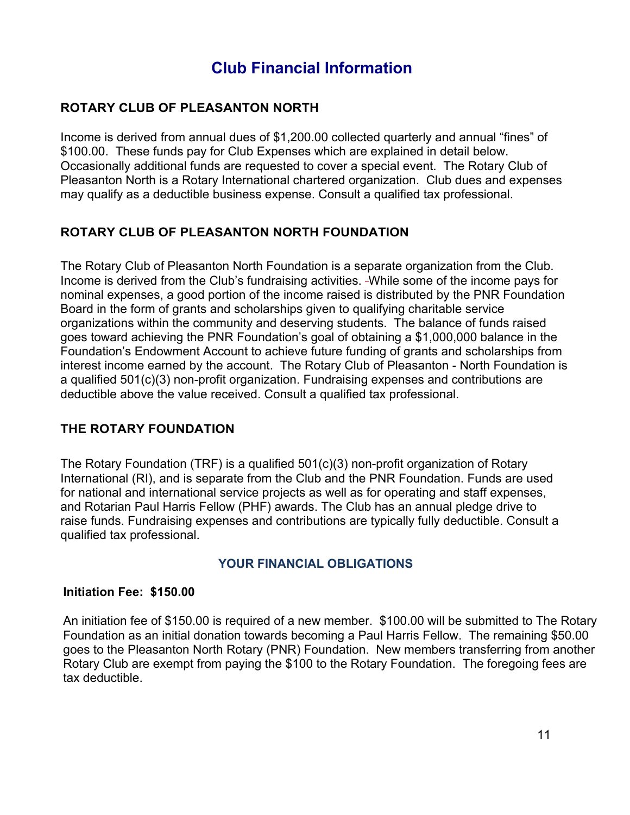## **Club Financial Information**

#### **ROTARY CLUB OF PLEASANTON NORTH**

Income is derived from annual dues of \$1,200.00 collected quarterly and annual "fines" of \$100.00. These funds pay for Club Expenses which are explained in detail below. Occasionally additional funds are requested to cover a special event. The Rotary Club of Pleasanton North is a Rotary International chartered organization. Club dues and expenses may qualify as a deductible business expense. Consult a qualified tax professional.

#### **ROTARY CLUB OF PLEASANTON NORTH FOUNDATION**

The Rotary Club of Pleasanton North Foundation is a separate organization from the Club. Income is derived from the Club's fundraising activities. -While some of the income pays for nominal expenses, a good portion of the income raised is distributed by the PNR Foundation Board in the form of grants and scholarships given to qualifying charitable service organizations within the community and deserving students. The balance of funds raised goes toward achieving the PNR Foundation's goal of obtaining a \$1,000,000 balance in the Foundation's Endowment Account to achieve future funding of grants and scholarships from interest income earned by the account. The Rotary Club of Pleasanton - North Foundation is a qualified 501(c)(3) non-profit organization. Fundraising expenses and contributions are deductible above the value received. Consult a qualified tax professional.

#### **THE ROTARY FOUNDATION**

The Rotary Foundation (TRF) is a qualified 501(c)(3) non-profit organization of Rotary International (RI), and is separate from the Club and the PNR Foundation. Funds are used for national and international service projects as well as for operating and staff expenses, and Rotarian Paul Harris Fellow (PHF) awards. The Club has an annual pledge drive to raise funds. Fundraising expenses and contributions are typically fully deductible. Consult a qualified tax professional.

#### **YOUR FINANCIAL OBLIGATIONS**

#### **Initiation Fee: \$150.00**

An initiation fee of \$150.00 is required of a new member. \$100.00 will be submitted to The Rotary Foundation as an initial donation towards becoming a Paul Harris Fellow. The remaining \$50.00 goes to the Pleasanton North Rotary (PNR) Foundation. New members transferring from another Rotary Club are exempt from paying the \$100 to the Rotary Foundation. The foregoing fees are tax deductible.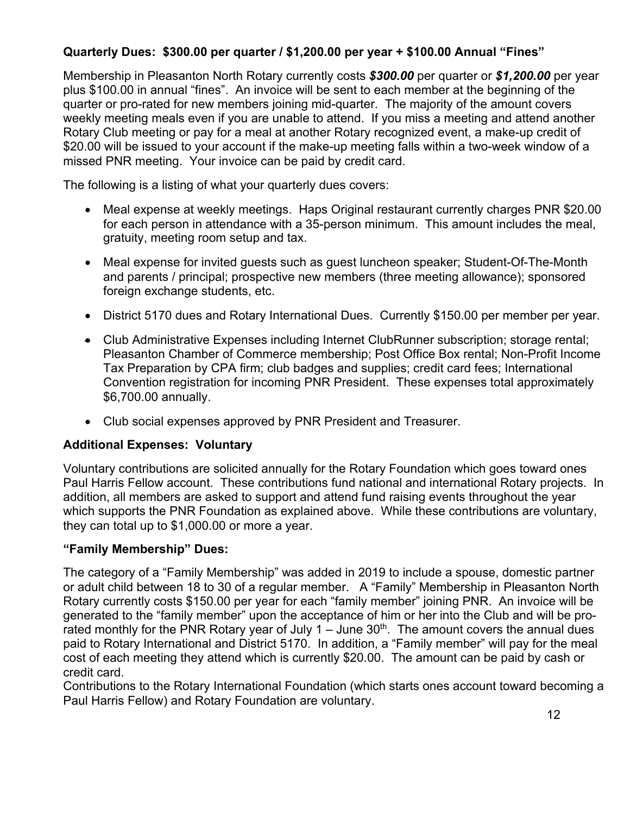#### **Quarterly Dues: \$300.00 per quarter / \$1,200.00 per year + \$100.00 Annual "Fines"**

Membership in Pleasanton North Rotary currently costs *\$300.00* per quarter or *\$1,200.00* per year plus \$100.00 in annual "fines". An invoice will be sent to each member at the beginning of the quarter or pro-rated for new members joining mid-quarter. The majority of the amount covers weekly meeting meals even if you are unable to attend. If you miss a meeting and attend another Rotary Club meeting or pay for a meal at another Rotary recognized event, a make-up credit of \$20.00 will be issued to your account if the make-up meeting falls within a two-week window of a missed PNR meeting. Your invoice can be paid by credit card.

The following is a listing of what your quarterly dues covers:

- Meal expense at weekly meetings. Haps Original restaurant currently charges PNR \$20.00 for each person in attendance with a 35-person minimum. This amount includes the meal, gratuity, meeting room setup and tax.
- Meal expense for invited guests such as guest luncheon speaker; Student-Of-The-Month and parents / principal; prospective new members (three meeting allowance); sponsored foreign exchange students, etc.
- District 5170 dues and Rotary International Dues. Currently \$150.00 per member per year.
- Club Administrative Expenses including Internet ClubRunner subscription; storage rental; Pleasanton Chamber of Commerce membership; Post Office Box rental; Non-Profit Income Tax Preparation by CPA firm; club badges and supplies; credit card fees; International Convention registration for incoming PNR President. These expenses total approximately \$6,700.00 annually.
- Club social expenses approved by PNR President and Treasurer.

#### **Additional Expenses: Voluntary**

Voluntary contributions are solicited annually for the Rotary Foundation which goes toward ones Paul Harris Fellow account. These contributions fund national and international Rotary projects. In addition, all members are asked to support and attend fund raising events throughout the year which supports the PNR Foundation as explained above. While these contributions are voluntary, they can total up to \$1,000.00 or more a year.

#### **"Family Membership" Dues:**

The category of a "Family Membership" was added in 2019 to include a spouse, domestic partner or adult child between 18 to 30 of a regular member. A "Family" Membership in Pleasanton North Rotary currently costs \$150.00 per year for each "family member" joining PNR. An invoice will be generated to the "family member" upon the acceptance of him or her into the Club and will be prorated monthly for the PNR Rotary year of July  $1 -$  June  $30<sup>th</sup>$ . The amount covers the annual dues paid to Rotary International and District 5170. In addition, a "Family member" will pay for the meal cost of each meeting they attend which is currently \$20.00. The amount can be paid by cash or credit card.

Contributions to the Rotary International Foundation (which starts ones account toward becoming a Paul Harris Fellow) and Rotary Foundation are voluntary.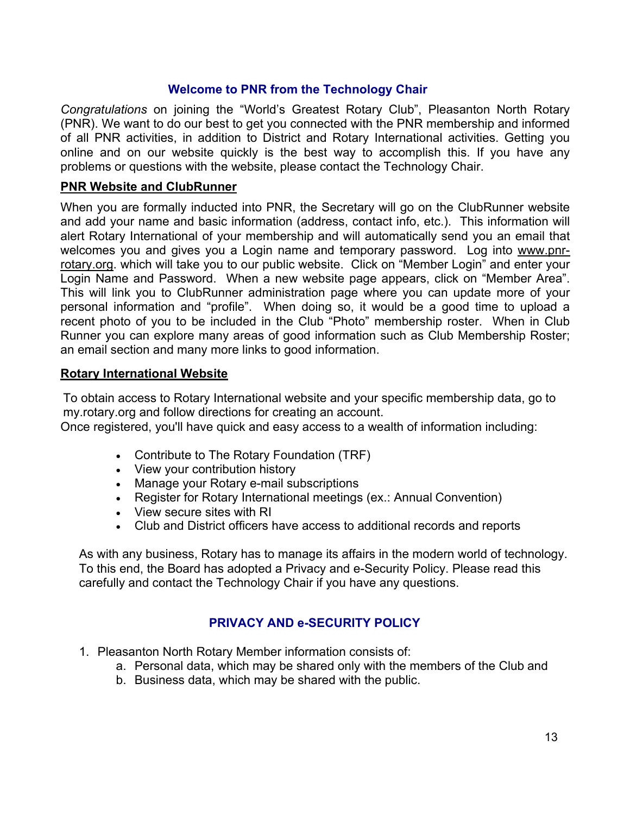#### **Welcome to PNR from the Technology Chair**

*Congratulations* on joining the "World's Greatest Rotary Club", Pleasanton North Rotary (PNR). We want to do our best to get you connected with the PNR membership and informed of all PNR activities, in addition to District and Rotary International activities. Getting you online and on our website quickly is the best way to accomplish this. If you have any problems or questions with the website, please contact the Technology Chair.

#### **PNR Website and ClubRunner**

When you are formally inducted into PNR, the Secretary will go on the ClubRunner website and add your name and basic information (address, contact info, etc.). This information will alert Rotary International of your membership and will automatically send you an email that welcomes you and gives you a Login name and temporary password. Log into www.pnrrotary.org. which will take you to our public website. Click on "Member Login" and enter your Login Name and Password. When a new website page appears, click on "Member Area". This will link you to ClubRunner administration page where you can update more of your personal information and "profile". When doing so, it would be a good time to upload a recent photo of you to be included in the Club "Photo" membership roster. When in Club Runner you can explore many areas of good information such as Club Membership Roster; an email section and many more links to good information.

#### **Rotary International Website**

To obtain access to Rotary International website and your specific membership data, go to my.rotary.org and follow directions for creating an account.

Once registered, you'll have quick and easy access to a wealth of information including:

- Contribute to The Rotary Foundation (TRF)
- View your contribution history
- Manage your Rotary e-mail subscriptions
- Register for Rotary International meetings (ex.: Annual Convention)
- View secure sites with RI
- Club and District officers have access to additional records and reports

As with any business, Rotary has to manage its affairs in the modern world of technology. To this end, the Board has adopted a Privacy and e-Security Policy. Please read this carefully and contact the Technology Chair if you have any questions.

#### **PRIVACY AND e-SECURITY POLICY**

- 1. Pleasanton North Rotary Member information consists of:
	- a. Personal data, which may be shared only with the members of the Club and
	- b. Business data, which may be shared with the public.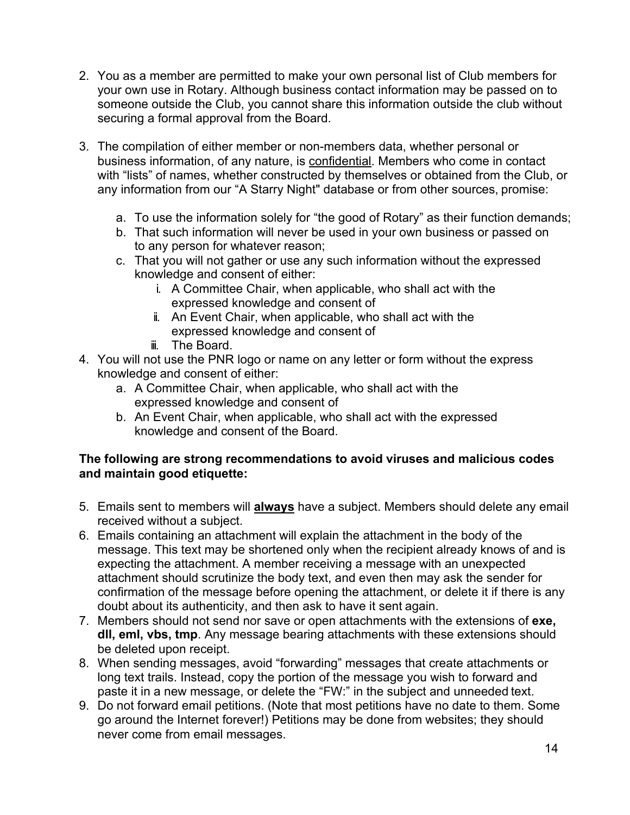- 2. You as a member are permitted to make your own personal list of Club members for your own use in Rotary. Although business contact information may be passed on to someone outside the Club, you cannot share this information outside the club without securing a formal approval from the Board.
- 3. The compilation of either member or non-members data, whether personal or business information, of any nature, is confidential. Members who come in contact with "lists" of names, whether constructed by themselves or obtained from the Club, or any information from our "A Starry Night" database or from other sources, promise:
	- a. To use the information solely for "the good of Rotary" as their function demands;
	- b. That such information will never be used in your own business or passed on to any person for whatever reason;
	- c. That you will not gather or use any such information without the expressed knowledge and consent of either:
		- i. A Committee Chair, when applicable, who shall act with the expressed knowledge and consent of
		- ii. An Event Chair, when applicable, who shall act with the expressed knowledge and consent of
		- iii. The Board.
- 4. You will not use the PNR logo or name on any letter or form without the express knowledge and consent of either:
	- a. A Committee Chair, when applicable, who shall act with the expressed knowledge and consent of
	- b. An Event Chair, when applicable, who shall act with the expressed knowledge and consent of the Board.

#### **The following are strong recommendations to avoid viruses and malicious codes and maintain good etiquette:**

- 5. Emails sent to members will **always** have a subject. Members should delete any email received without a subject.
- 6. Emails containing an attachment will explain the attachment in the body of the message. This text may be shortened only when the recipient already knows of and is expecting the attachment. A member receiving a message with an unexpected attachment should scrutinize the body text, and even then may ask the sender for confirmation of the message before opening the attachment, or delete it if there is any doubt about its authenticity, and then ask to have it sent again.
- 7. Members should not send nor save or open attachments with the extensions of **exe, dll, eml, vbs, tmp**. Any message bearing attachments with these extensions should be deleted upon receipt.
- 8. When sending messages, avoid "forwarding" messages that create attachments or long text trails. Instead, copy the portion of the message you wish to forward and paste it in a new message, or delete the "FW:" in the subject and unneeded text.
- 9. Do not forward email petitions. (Note that most petitions have no date to them. Some go around the Internet forever!) Petitions may be done from websites; they should never come from email messages.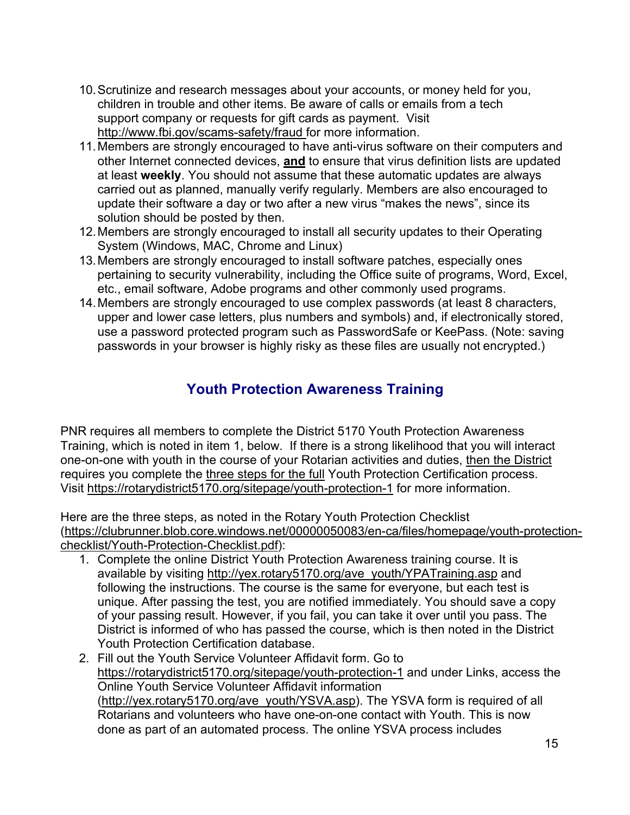- 10.Scrutinize and research messages about your accounts, or money held for you, children in trouble and other items. Be aware of calls or emails from a tech support company or requests for gift cards as payment. Visit http://www.fbi.gov/scams-safety/fraud for more information.
- 11.Members are strongly encouraged to have anti-virus software on their computers and other Internet connected devices, **and** to ensure that virus definition lists are updated at least **weekly**. You should not assume that these automatic updates are always carried out as planned, manually verify regularly. Members are also encouraged to update their software a day or two after a new virus "makes the news", since its solution should be posted by then.
- 12.Members are strongly encouraged to install all security updates to their Operating System (Windows, MAC, Chrome and Linux)
- 13.Members are strongly encouraged to install software patches, especially ones pertaining to security vulnerability, including the Office suite of programs, Word, Excel, etc., email software, Adobe programs and other commonly used programs.
- 14.Members are strongly encouraged to use complex passwords (at least 8 characters, upper and lower case letters, plus numbers and symbols) and, if electronically stored, use a password protected program such as PasswordSafe or KeePass. (Note: saving passwords in your browser is highly risky as these files are usually not encrypted.)

#### **Youth Protection Awareness Training**

PNR requires all members to complete the District 5170 Youth Protection Awareness Training, which is noted in item 1, below. If there is a strong likelihood that you will interact one-on-one with youth in the course of your Rotarian activities and duties, then the District requires you complete the three steps for the full Youth Protection Certification process. Visit https://rotarydistrict5170.org/sitepage/youth-protection-1 for more information.

Here are the three steps, as noted in the Rotary Youth Protection Checklist (https://clubrunner.blob.core.windows.net/00000050083/en-ca/files/homepage/youth-protectionchecklist/Youth-Protection-Checklist.pdf):

- 1. Complete the online District Youth Protection Awareness training course. It is available by visiting http://yex.rotary5170.org/ave\_youth/YPATraining.asp and following the instructions. The course is the same for everyone, but each test is unique. After passing the test, you are notified immediately. You should save a copy of your passing result. However, if you fail, you can take it over until you pass. The District is informed of who has passed the course, which is then noted in the District Youth Protection Certification database.
- 2. Fill out the Youth Service Volunteer Affidavit form. Go to https://rotarydistrict5170.org/sitepage/youth-protection-1 and under Links, access the Online Youth Service Volunteer Affidavit information (http://yex.rotary5170.org/ave\_youth/YSVA.asp). The YSVA form is required of all Rotarians and volunteers who have one-on-one contact with Youth. This is now done as part of an automated process. The online YSVA process includes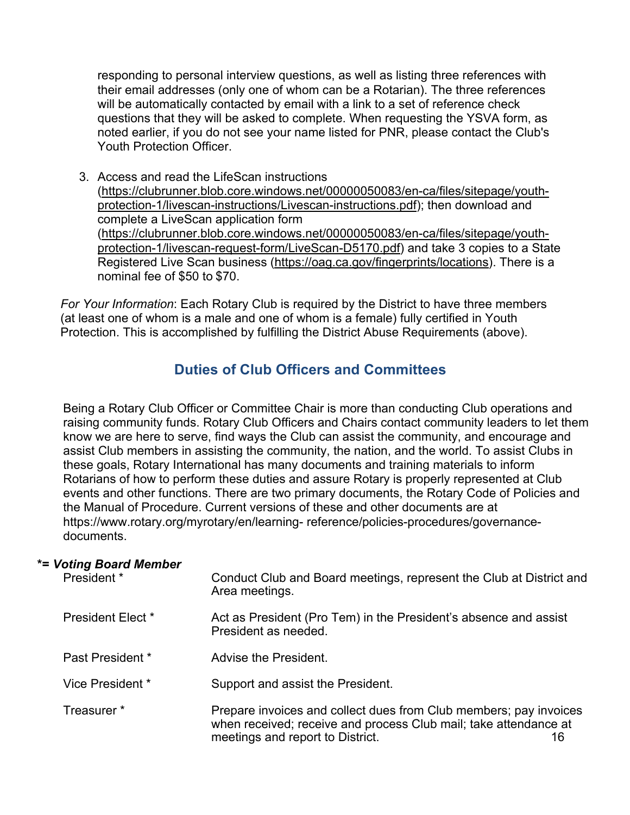responding to personal interview questions, as well as listing three references with their email addresses (only one of whom can be a Rotarian). The three references will be automatically contacted by email with a link to a set of reference check questions that they will be asked to complete. When requesting the YSVA form, as noted earlier, if you do not see your name listed for PNR, please contact the Club's Youth Protection Officer.

3. Access and read the LifeScan instructions (https://clubrunner.blob.core.windows.net/00000050083/en-ca/files/sitepage/youthprotection-1/livescan-instructions/Livescan-instructions.pdf); then download and complete a LiveScan application form (https://clubrunner.blob.core.windows.net/00000050083/en-ca/files/sitepage/youthprotection-1/livescan-request-form/LiveScan-D5170.pdf) and take 3 copies to a State Registered Live Scan business (https://oag.ca.gov/fingerprints/locations). There is a nominal fee of \$50 to \$70.

*For Your Information*: Each Rotary Club is required by the District to have three members (at least one of whom is a male and one of whom is a female) fully certified in Youth Protection. This is accomplished by fulfilling the District Abuse Requirements (above).

#### **Duties of Club Officers and Committees**

Being a Rotary Club Officer or Committee Chair is more than conducting Club operations and raising community funds. Rotary Club Officers and Chairs contact community leaders to let them know we are here to serve, find ways the Club can assist the community, and encourage and assist Club members in assisting the community, the nation, and the world. To assist Clubs in these goals, Rotary International has many documents and training materials to inform Rotarians of how to perform these duties and assure Rotary is properly represented at Club events and other functions. There are two primary documents, the Rotary Code of Policies and the Manual of Procedure. Current versions of these and other documents are at https://www.rotary.org/myrotary/en/learning- reference/policies-procedures/governancedocuments.

#### **\*=** *Voting Board Member*

| President *       | Conduct Club and Board meetings, represent the Club at District and<br>Area meetings.                                                                                           |  |
|-------------------|---------------------------------------------------------------------------------------------------------------------------------------------------------------------------------|--|
| President Elect * | Act as President (Pro Tem) in the President's absence and assist<br>President as needed.                                                                                        |  |
| Past President *  | Advise the President.                                                                                                                                                           |  |
| Vice President *  | Support and assist the President.                                                                                                                                               |  |
| Treasurer *       | Prepare invoices and collect dues from Club members; pay invoices<br>when received; receive and process Club mail; take attendance at<br>meetings and report to District.<br>16 |  |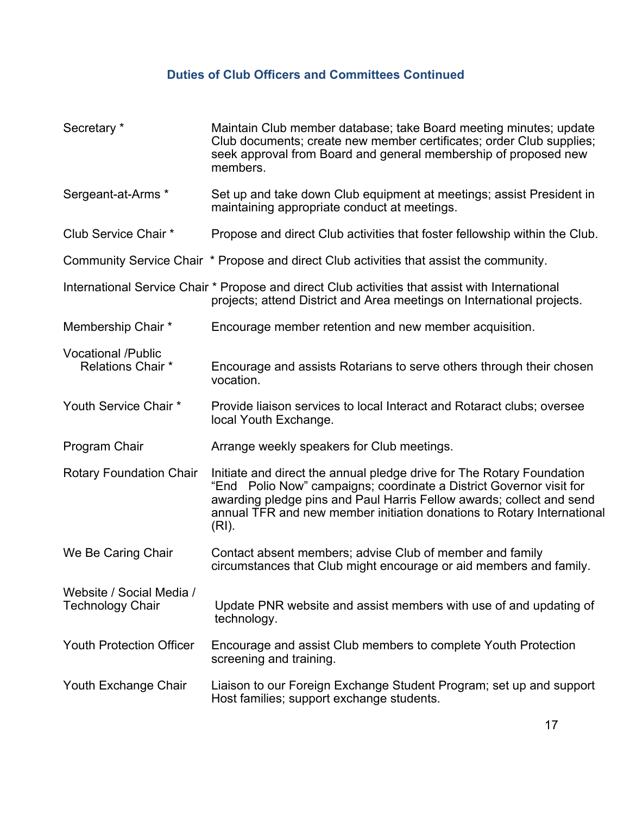#### **Duties of Club Officers and Committees Continued**

| Secretary *                                           | Maintain Club member database; take Board meeting minutes; update<br>Club documents; create new member certificates; order Club supplies;<br>seek approval from Board and general membership of proposed new<br>members.                                                                                |
|-------------------------------------------------------|---------------------------------------------------------------------------------------------------------------------------------------------------------------------------------------------------------------------------------------------------------------------------------------------------------|
| Sergeant-at-Arms *                                    | Set up and take down Club equipment at meetings; assist President in<br>maintaining appropriate conduct at meetings.                                                                                                                                                                                    |
| Club Service Chair *                                  | Propose and direct Club activities that foster fellowship within the Club.                                                                                                                                                                                                                              |
|                                                       | Community Service Chair * Propose and direct Club activities that assist the community.                                                                                                                                                                                                                 |
|                                                       | International Service Chair * Propose and direct Club activities that assist with International<br>projects; attend District and Area meetings on International projects.                                                                                                                               |
| Membership Chair *                                    | Encourage member retention and new member acquisition.                                                                                                                                                                                                                                                  |
| <b>Vocational /Public</b><br><b>Relations Chair *</b> | Encourage and assists Rotarians to serve others through their chosen<br>vocation.                                                                                                                                                                                                                       |
| Youth Service Chair *                                 | Provide liaison services to local Interact and Rotaract clubs; oversee<br>local Youth Exchange.                                                                                                                                                                                                         |
| Program Chair                                         | Arrange weekly speakers for Club meetings.                                                                                                                                                                                                                                                              |
| <b>Rotary Foundation Chair</b>                        | Initiate and direct the annual pledge drive for The Rotary Foundation<br>"End Polio Now" campaigns; coordinate a District Governor visit for<br>awarding pledge pins and Paul Harris Fellow awards; collect and send<br>annual TFR and new member initiation donations to Rotary International<br>(RI). |
| We Be Caring Chair                                    | Contact absent members; advise Club of member and family<br>circumstances that Club might encourage or aid members and family.                                                                                                                                                                          |
| Website / Social Media /<br><b>Technology Chair</b>   | Update PNR website and assist members with use of and updating of<br>technology.                                                                                                                                                                                                                        |
| <b>Youth Protection Officer</b>                       | Encourage and assist Club members to complete Youth Protection<br>screening and training.                                                                                                                                                                                                               |
| Youth Exchange Chair                                  | Liaison to our Foreign Exchange Student Program; set up and support<br>Host families; support exchange students.                                                                                                                                                                                        |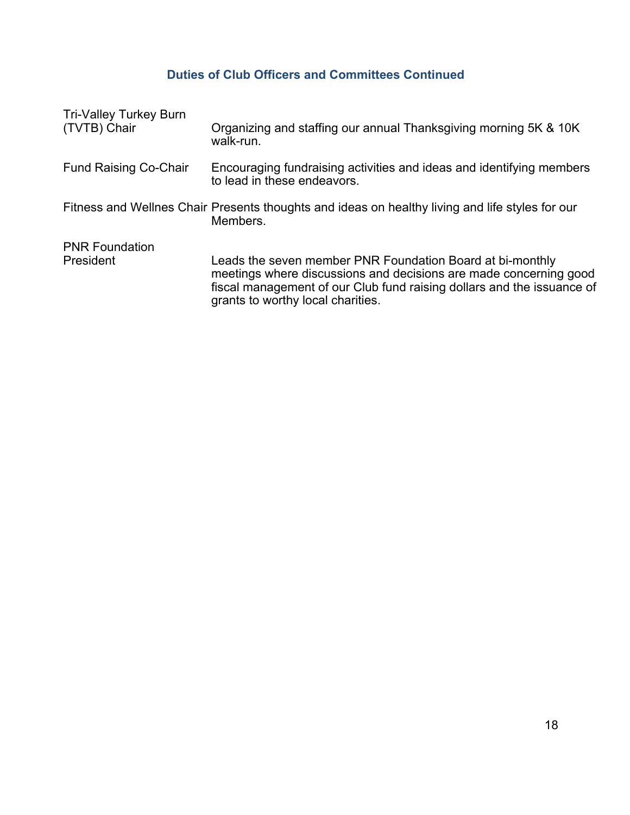#### **Duties of Club Officers and Committees Continued**

| <b>Tri-Valley Turkey Burn</b><br>(TVTB) Chair | Organizing and staffing our annual Thanksgiving morning 5K & 10K<br>walk-run.                                                                                                                                                                 |
|-----------------------------------------------|-----------------------------------------------------------------------------------------------------------------------------------------------------------------------------------------------------------------------------------------------|
| <b>Fund Raising Co-Chair</b>                  | Encouraging fundraising activities and ideas and identifying members<br>to lead in these endeavors.                                                                                                                                           |
|                                               | Fitness and Wellnes Chair Presents thoughts and ideas on healthy living and life styles for our<br>Members.                                                                                                                                   |
| <b>PNR Foundation</b><br>President            | Leads the seven member PNR Foundation Board at bi-monthly<br>meetings where discussions and decisions are made concerning good<br>fiscal management of our Club fund raising dollars and the issuance of<br>grants to worthy local charities. |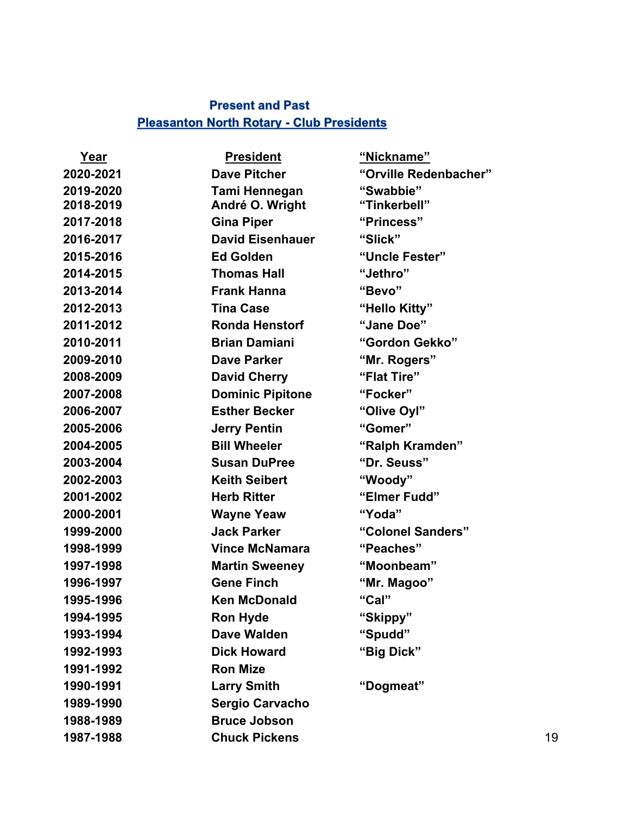#### **Present and Past Pleasanton North Rotary - Club Presidents**

| Year      | <b>President</b>        | "Nickname"            |    |
|-----------|-------------------------|-----------------------|----|
| 2020-2021 | <b>Dave Pitcher</b>     | "Orville Redenbacher" |    |
| 2019-2020 | Tami Hennegan           | "Swabbie"             |    |
| 2018-2019 | André O. Wright         | "Tinkerbell"          |    |
| 2017-2018 | <b>Gina Piper</b>       | "Princess"            |    |
| 2016-2017 | <b>David Eisenhauer</b> | "Slick"               |    |
| 2015-2016 | <b>Ed Golden</b>        | "Uncle Fester"        |    |
| 2014-2015 | <b>Thomas Hall</b>      | "Jethro"              |    |
| 2013-2014 | <b>Frank Hanna</b>      | "Bevo"                |    |
| 2012-2013 | <b>Tina Case</b>        | "Hello Kitty"         |    |
| 2011-2012 | <b>Ronda Henstorf</b>   | "Jane Doe"            |    |
| 2010-2011 | <b>Brian Damiani</b>    | "Gordon Gekko"        |    |
| 2009-2010 | <b>Dave Parker</b>      | "Mr. Rogers"          |    |
| 2008-2009 | <b>David Cherry</b>     | "Flat Tire"           |    |
| 2007-2008 | <b>Dominic Pipitone</b> | "Focker"              |    |
| 2006-2007 | <b>Esther Becker</b>    | "Olive Oyl"           |    |
| 2005-2006 | <b>Jerry Pentin</b>     | "Gomer"               |    |
| 2004-2005 | <b>Bill Wheeler</b>     | "Ralph Kramden"       |    |
| 2003-2004 | <b>Susan DuPree</b>     | "Dr. Seuss"           |    |
| 2002-2003 | <b>Keith Seibert</b>    | "Woody"               |    |
| 2001-2002 | <b>Herb Ritter</b>      | "Elmer Fudd"          |    |
| 2000-2001 | <b>Wayne Yeaw</b>       | "Yoda"                |    |
| 1999-2000 | <b>Jack Parker</b>      | "Colonel Sanders"     |    |
| 1998-1999 | <b>Vince McNamara</b>   | "Peaches"             |    |
| 1997-1998 | <b>Martin Sweeney</b>   | "Moonbeam"            |    |
| 1996-1997 | <b>Gene Finch</b>       | "Mr. Magoo"           |    |
| 1995-1996 | <b>Ken McDonald</b>     | "Cal"                 |    |
| 1994-1995 | <b>Ron Hyde</b>         | "Skippy"              |    |
| 1993-1994 | <b>Dave Walden</b>      | "Spudd"               |    |
| 1992-1993 | <b>Dick Howard</b>      | "Big Dick"            |    |
| 1991-1992 | <b>Ron Mize</b>         |                       |    |
| 1990-1991 | <b>Larry Smith</b>      | "Dogmeat"             |    |
| 1989-1990 | <b>Sergio Carvacho</b>  |                       |    |
| 1988-1989 | <b>Bruce Jobson</b>     |                       |    |
| 1987-1988 | <b>Chuck Pickens</b>    |                       | 19 |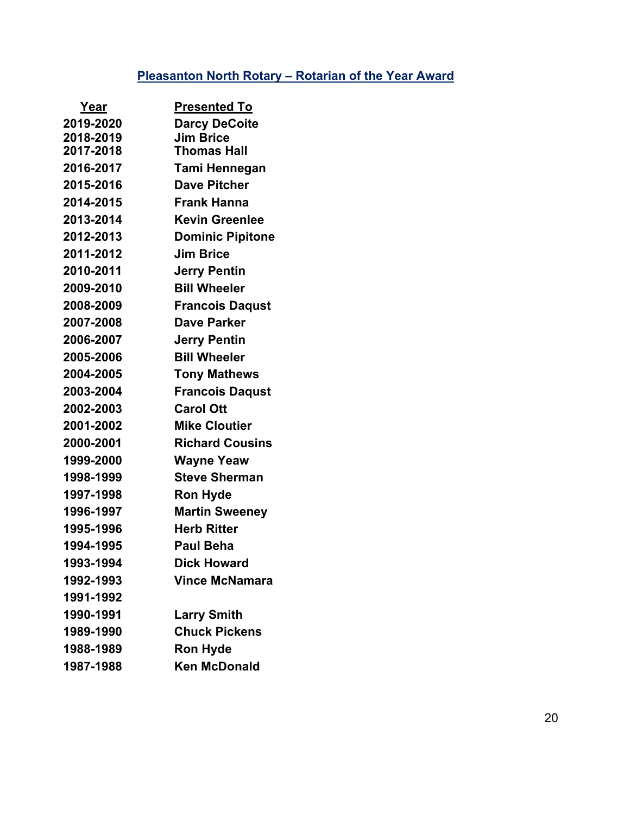## **Pleasanton North Rotary – Rotarian of the Year Award**

| <u>Year</u> | <u>Presented To</u>     |
|-------------|-------------------------|
| 2019-2020   | <b>Darcy DeCoite</b>    |
| 2018-2019   | <b>Jim Brice</b>        |
| 2017-2018   | <b>Thomas Hall</b>      |
| 2016-2017   | Tami Hennegan           |
| 2015-2016   | <b>Dave Pitcher</b>     |
| 2014-2015   | <b>Frank Hanna</b>      |
| 2013-2014   | <b>Kevin Greenlee</b>   |
| 2012-2013   | <b>Dominic Pipitone</b> |
| 2011-2012   | <b>Jim Brice</b>        |
| 2010-2011   | <b>Jerry Pentin</b>     |
| 2009-2010   | <b>Bill Wheeler</b>     |
| 2008-2009   | <b>Francois Daqust</b>  |
| 2007-2008   | <b>Dave Parker</b>      |
| 2006-2007   | <b>Jerry Pentin</b>     |
| 2005-2006   | <b>Bill Wheeler</b>     |
| 2004-2005   | <b>Tony Mathews</b>     |
| 2003-2004   | <b>Francois Daqust</b>  |
| 2002-2003   | <b>Carol Ott</b>        |
| 2001-2002   | <b>Mike Cloutier</b>    |
| 2000-2001   | <b>Richard Cousins</b>  |
| 1999-2000   | Wayne Yeaw              |
| 1998-1999   | <b>Steve Sherman</b>    |
| 1997-1998   | <b>Ron Hyde</b>         |
| 1996-1997   | <b>Martin Sweeney</b>   |
| 1995-1996   | <b>Herb Ritter</b>      |
| 1994-1995   | <b>Paul Beha</b>        |
| 1993-1994   | <b>Dick Howard</b>      |
| 1992-1993   | <b>Vince McNamara</b>   |
| 1991-1992   |                         |
| 1990-1991   | <b>Larry Smith</b>      |
| 1989-1990   | <b>Chuck Pickens</b>    |
| 1988-1989   | <b>Ron Hyde</b>         |
| 1987-1988   | <b>Ken McDonald</b>     |